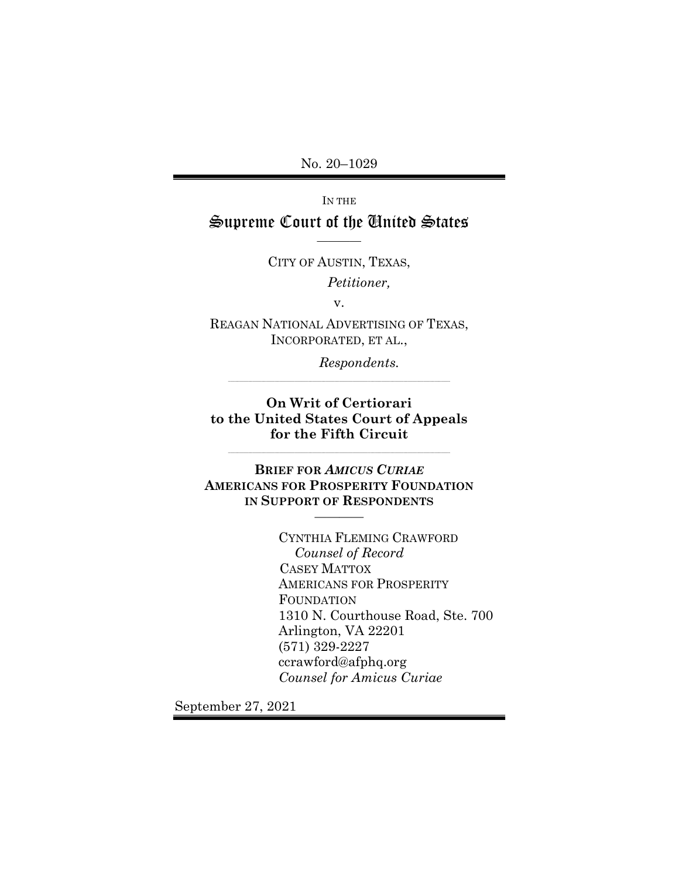No. 20–1029

IN THE

# Supreme Court of the United States ————

CITY OF AUSTIN, TEXAS,

Petitioner,

v.

REAGAN NATIONAL ADVERTISING OF TEXAS, INCORPORATED, ET AL.,

Respondents.

On Writ of Certiorari to the United States Court of Appeals for the Fifth Circuit

 $\_$  ,  $\_$  ,  $\_$  ,  $\_$  ,  $\_$  ,  $\_$  ,  $\_$  ,  $\_$  ,  $\_$  ,  $\_$  ,  $\_$  ,  $\_$  ,  $\_$  ,  $\_$  ,  $\_$  ,  $\_$  ,  $\_$  ,  $\_$  ,  $\_$  ,  $\_$  ,  $\_$  ,  $\_$  ,  $\_$  ,  $\_$  ,  $\_$  ,  $\_$  ,  $\_$  ,  $\_$  ,  $\_$  ,  $\_$  ,  $\_$  ,  $\_$  ,  $\_$  ,  $\_$  ,  $\_$  ,  $\_$  ,  $\_$  ,

\_\_\_\_\_\_\_\_\_\_\_\_\_\_\_\_\_\_\_\_\_\_\_\_\_\_\_\_\_\_\_\_\_\_\_\_\_\_\_\_\_\_\_\_\_\_\_\_\_\_\_\_\_\_\_\_\_\_\_\_\_\_\_\_\_\_\_\_\_\_\_\_\_\_\_\_\_\_\_\_\_\_\_\_\_\_\_\_\_\_\_\_\_\_\_\_\_\_\_\_

BRIEF FOR AMICUS CURIAE AMERICANS FOR PROSPERITY FOUNDATION IN SUPPORT OF RESPONDENTS

————

CYNTHIA FLEMING CRAWFORD Counsel of Record CASEY MATTOX AMERICANS FOR PROSPERITY FOUNDATION 1310 N. Courthouse Road, Ste. 700 Arlington, VA 22201 (571) 329-2227 ccrawford@afphq.org Counsel for Amicus Curiae

September 27, 2021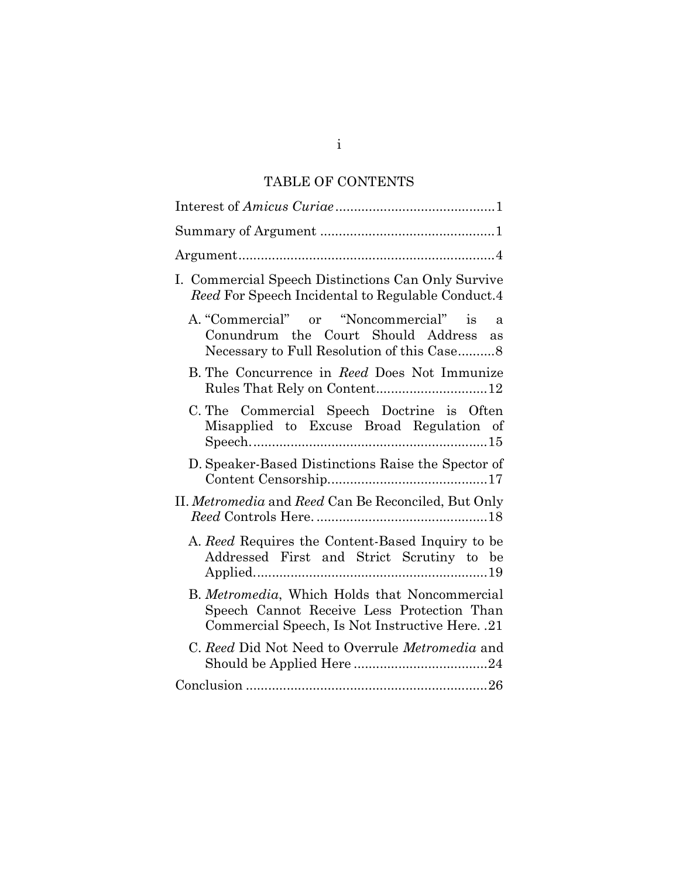# TABLE OF CONTENTS

| I. Commercial Speech Distinctions Can Only Survive<br>Reed For Speech Incidental to Regulable Conduct.4                                        |  |  |
|------------------------------------------------------------------------------------------------------------------------------------------------|--|--|
| A. "Commercial" or "Noncommercial" is<br>a<br>Conundrum the Court Should Address<br>as<br>Necessary to Full Resolution of this Case8           |  |  |
| B. The Concurrence in Reed Does Not Immunize<br>Rules That Rely on Content12                                                                   |  |  |
| C. The Commercial Speech Doctrine is Often<br>Misapplied to Excuse Broad Regulation of                                                         |  |  |
| D. Speaker-Based Distinctions Raise the Spector of                                                                                             |  |  |
| II. Metromedia and Reed Can Be Reconciled, But Only                                                                                            |  |  |
| A. Reed Requires the Content-Based Inquiry to be<br>Addressed First and Strict Scrutiny to be                                                  |  |  |
| B. Metromedia, Which Holds that Noncommercial<br>Speech Cannot Receive Less Protection Than<br>Commercial Speech, Is Not Instructive Here. .21 |  |  |
| C. Reed Did Not Need to Overrule Metromedia and                                                                                                |  |  |
|                                                                                                                                                |  |  |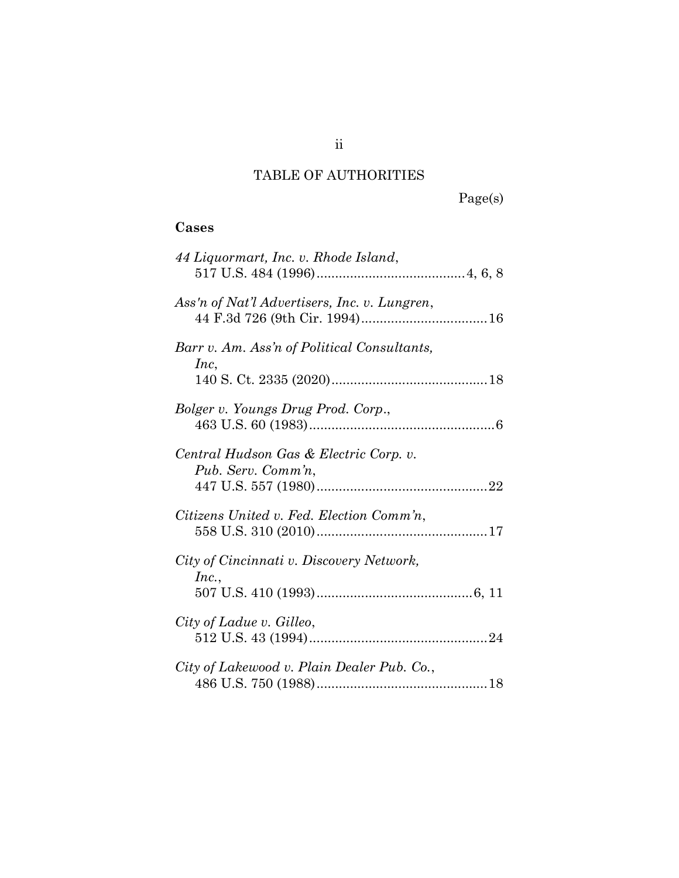# TABLE OF AUTHORITIES

Page(s)

## Cases

| 44 Liquormart, Inc. v. Rhode Island,                         |
|--------------------------------------------------------------|
| Ass'n of Nat'l Advertisers, Inc. v. Lungren,                 |
| Barr v. Am. Ass'n of Political Consultants,<br>Inc,          |
|                                                              |
| Bolger v. Youngs Drug Prod. Corp.,                           |
| Central Hudson Gas & Electric Corp. v.<br>Pub. Serv. Comm'n, |
|                                                              |
| Citizens United v. Fed. Election Comm'n,                     |
| City of Cincinnati v. Discovery Network,                     |
| Inc.,                                                        |
| City of Ladue v. Gilleo,                                     |
| City of Lakewood v. Plain Dealer Pub. Co.,                   |
|                                                              |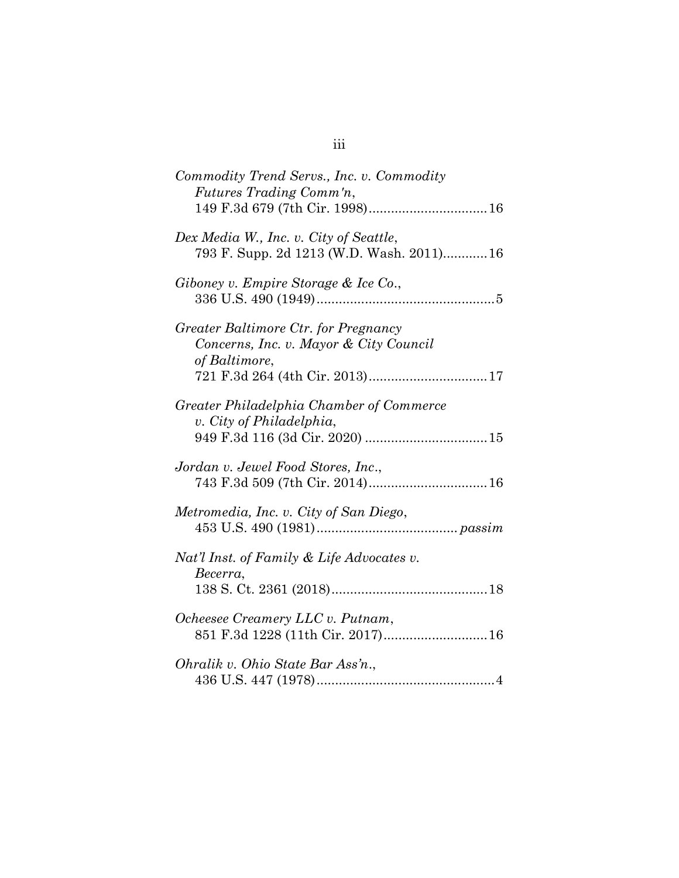| Commodity Trend Servs., Inc. v. Commodity<br>Futures Trading Comm'n,                            |
|-------------------------------------------------------------------------------------------------|
| 149 F.3d 679 (7th Cir. 1998) 16                                                                 |
| Dex Media W., Inc. v. City of Seattle,<br>793 F. Supp. 2d 1213 (W.D. Wash. 2011)16              |
| Giboney v. Empire Storage & Ice Co.,                                                            |
| Greater Baltimore Ctr. for Pregnancy<br>Concerns, Inc. v. Mayor & City Council<br>of Baltimore, |
| Greater Philadelphia Chamber of Commerce<br>v. City of Philadelphia,                            |
| Jordan v. Jewel Food Stores, Inc.,                                                              |
| Metromedia, Inc. v. City of San Diego,                                                          |
| Nat'l Inst. of Family & Life Advocates v.<br>Becerra,                                           |
| Ocheesee Creamery LLC v. Putnam,                                                                |
| Ohralik v. Ohio State Bar Ass'n.,                                                               |

iii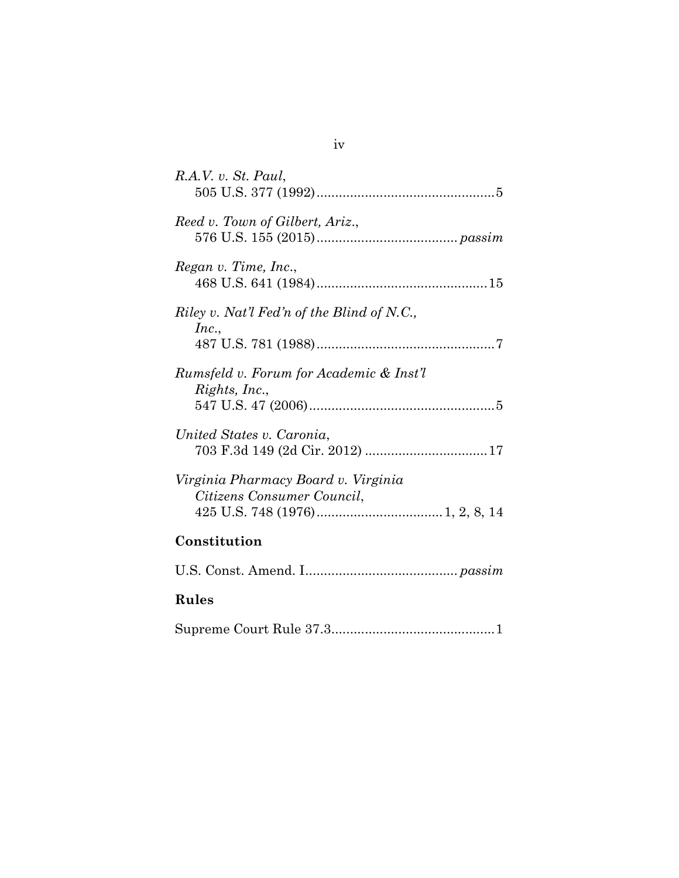| R.A.V. v. St. Paul,                                               |
|-------------------------------------------------------------------|
| Reed v. Town of Gilbert, Ariz.,                                   |
| Regan v. Time, Inc.,                                              |
| Riley v. Nat'l Fed'n of the Blind of N.C.,<br>Inc.,               |
| Rumsfeld v. Forum for Academic & Inst'l<br>Rights, Inc.,          |
| United States v. Caronia,                                         |
| Virginia Pharmacy Board v. Virginia<br>Citizens Consumer Council, |
| Constitution                                                      |
|                                                                   |
| Rules                                                             |

|--|--|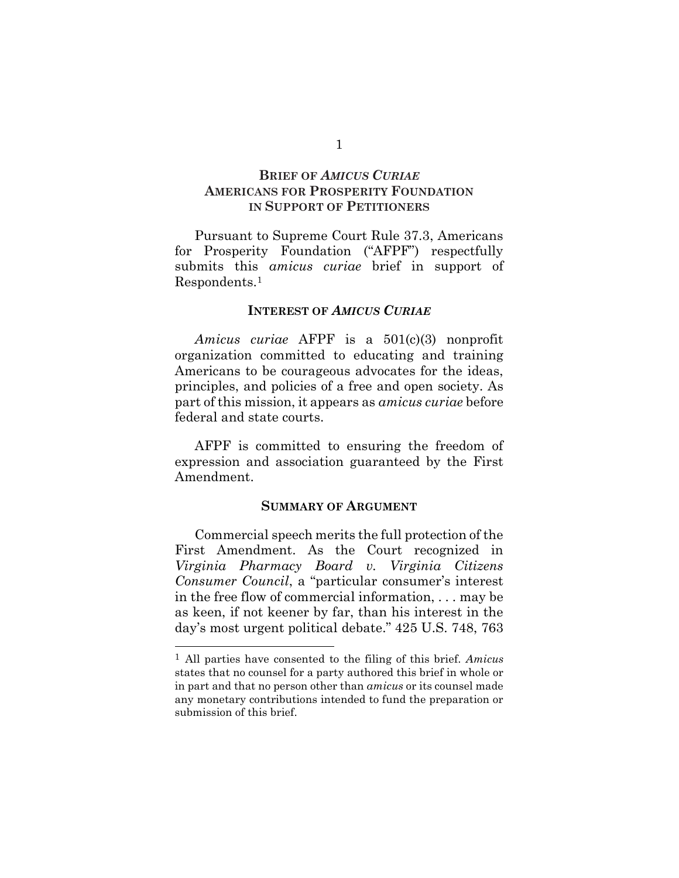## BRIEF OF AMICUS CURIAE AMERICANS FOR PROSPERITY FOUNDATION IN SUPPORT OF PETITIONERS

Pursuant to Supreme Court Rule 37.3, Americans for Prosperity Foundation ("AFPF") respectfully submits this *amicus curiae* brief in support of Respondents.<sup>1</sup>

#### INTEREST OF AMICUS CURIAE

Amicus curiae AFPF is a 501(c)(3) nonprofit organization committed to educating and training Americans to be courageous advocates for the ideas, principles, and policies of a free and open society. As part of this mission, it appears as amicus curiae before federal and state courts.

AFPF is committed to ensuring the freedom of expression and association guaranteed by the First Amendment.

#### SUMMARY OF ARGUMENT

Commercial speech merits the full protection of the First Amendment. As the Court recognized in Virginia Pharmacy Board v. Virginia Citizens Consumer Council, a "particular consumer's interest in the free flow of commercial information, . . . may be as keen, if not keener by far, than his interest in the day's most urgent political debate." 425 U.S. 748, 763

<sup>1</sup> All parties have consented to the filing of this brief. Amicus states that no counsel for a party authored this brief in whole or in part and that no person other than amicus or its counsel made any monetary contributions intended to fund the preparation or submission of this brief.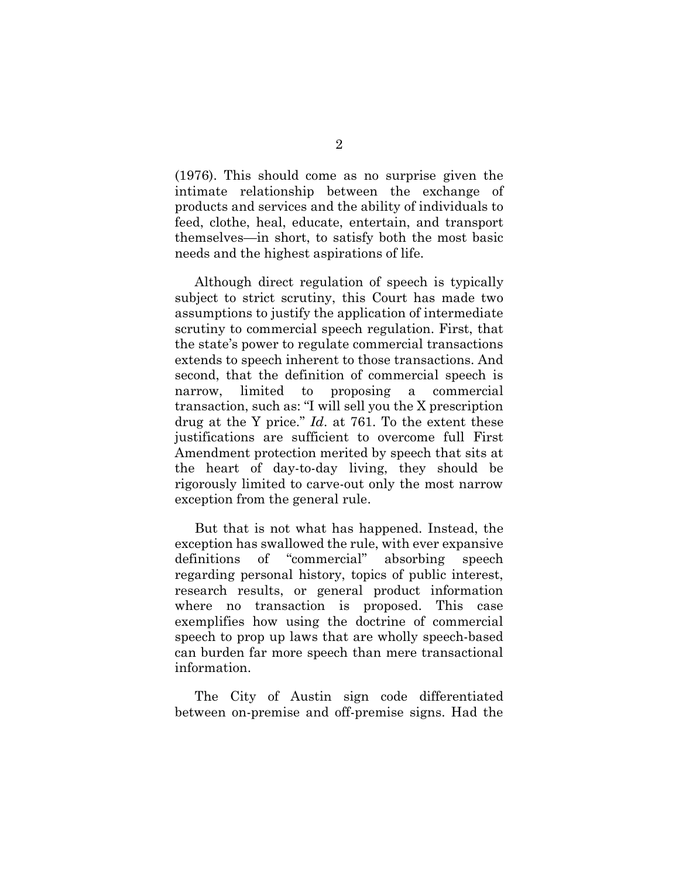(1976). This should come as no surprise given the intimate relationship between the exchange of products and services and the ability of individuals to feed, clothe, heal, educate, entertain, and transport themselves—in short, to satisfy both the most basic needs and the highest aspirations of life.

Although direct regulation of speech is typically subject to strict scrutiny, this Court has made two assumptions to justify the application of intermediate scrutiny to commercial speech regulation. First, that the state's power to regulate commercial transactions extends to speech inherent to those transactions. And second, that the definition of commercial speech is narrow, limited to proposing a commercial transaction, such as: "I will sell you the X prescription drug at the Y price." Id. at 761. To the extent these justifications are sufficient to overcome full First Amendment protection merited by speech that sits at the heart of day-to-day living, they should be rigorously limited to carve-out only the most narrow exception from the general rule.

But that is not what has happened. Instead, the exception has swallowed the rule, with ever expansive definitions of "commercial" absorbing speech regarding personal history, topics of public interest, research results, or general product information where no transaction is proposed. This case exemplifies how using the doctrine of commercial speech to prop up laws that are wholly speech-based can burden far more speech than mere transactional information.

The City of Austin sign code differentiated between on-premise and off-premise signs. Had the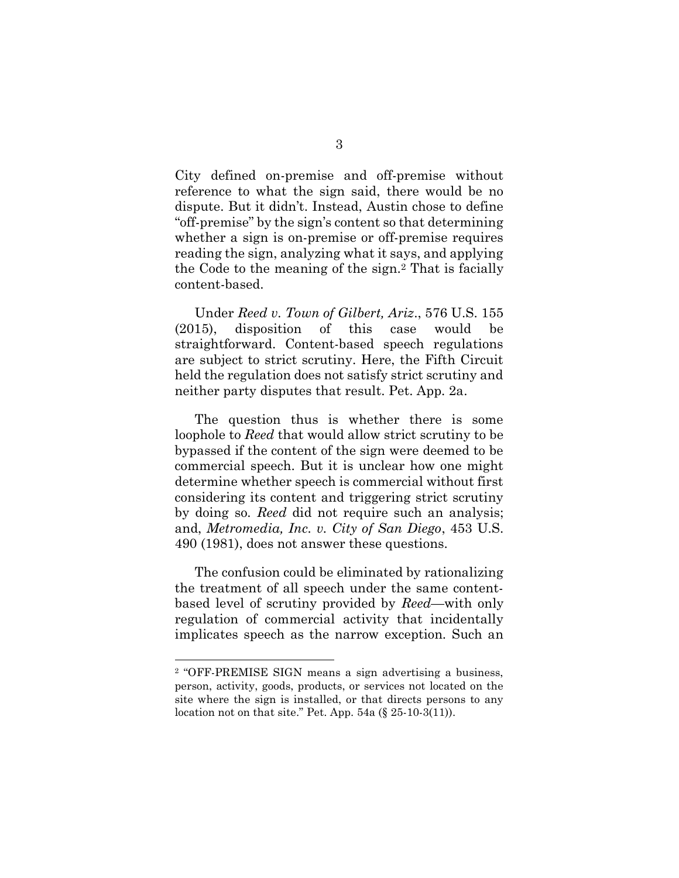City defined on-premise and off-premise without reference to what the sign said, there would be no dispute. But it didn't. Instead, Austin chose to define "off-premise" by the sign's content so that determining whether a sign is on-premise or off-premise requires reading the sign, analyzing what it says, and applying the Code to the meaning of the sign.2 That is facially content-based.

Under Reed v. Town of Gilbert, Ariz., 576 U.S. 155 (2015), disposition of this case would be straightforward. Content-based speech regulations are subject to strict scrutiny. Here, the Fifth Circuit held the regulation does not satisfy strict scrutiny and neither party disputes that result. Pet. App. 2a.

The question thus is whether there is some loophole to Reed that would allow strict scrutiny to be bypassed if the content of the sign were deemed to be commercial speech. But it is unclear how one might determine whether speech is commercial without first considering its content and triggering strict scrutiny by doing so. Reed did not require such an analysis; and, Metromedia, Inc. v. City of San Diego, 453 U.S. 490 (1981), does not answer these questions.

The confusion could be eliminated by rationalizing the treatment of all speech under the same contentbased level of scrutiny provided by Reed—with only regulation of commercial activity that incidentally implicates speech as the narrow exception. Such an

<sup>2</sup> "OFF-PREMISE SIGN means a sign advertising a business, person, activity, goods, products, or services not located on the site where the sign is installed, or that directs persons to any location not on that site." Pet. App. 54a (§ 25-10-3(11)).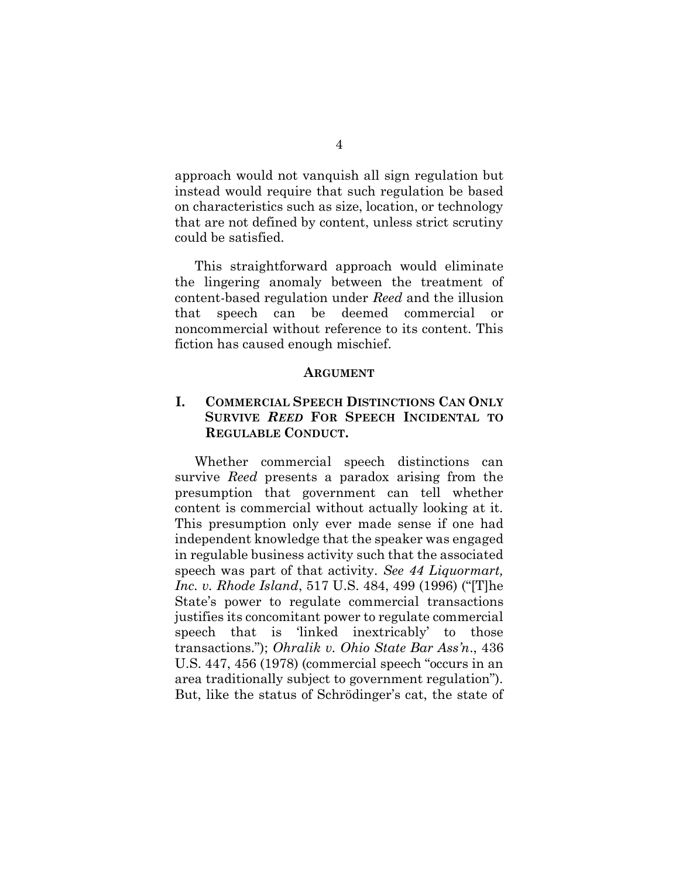approach would not vanquish all sign regulation but instead would require that such regulation be based on characteristics such as size, location, or technology that are not defined by content, unless strict scrutiny could be satisfied.

This straightforward approach would eliminate the lingering anomaly between the treatment of content-based regulation under Reed and the illusion that speech can be deemed commercial or noncommercial without reference to its content. This fiction has caused enough mischief.

#### ARGUMENT

## I. COMMERCIAL SPEECH DISTINCTIONS CAN ONLY SURVIVE REED FOR SPEECH INCIDENTAL TO REGULABLE CONDUCT.

Whether commercial speech distinctions can survive Reed presents a paradox arising from the presumption that government can tell whether content is commercial without actually looking at it. This presumption only ever made sense if one had independent knowledge that the speaker was engaged in regulable business activity such that the associated speech was part of that activity. See 44 Liquormart, Inc. v. Rhode Island, 517 U.S. 484, 499 (1996) ("[T]he State's power to regulate commercial transactions justifies its concomitant power to regulate commercial speech that is 'linked inextricably' to those transactions."); Ohralik v. Ohio State Bar Ass'n., 436 U.S. 447, 456 (1978) (commercial speech "occurs in an area traditionally subject to government regulation"). But, like the status of Schrödinger's cat, the state of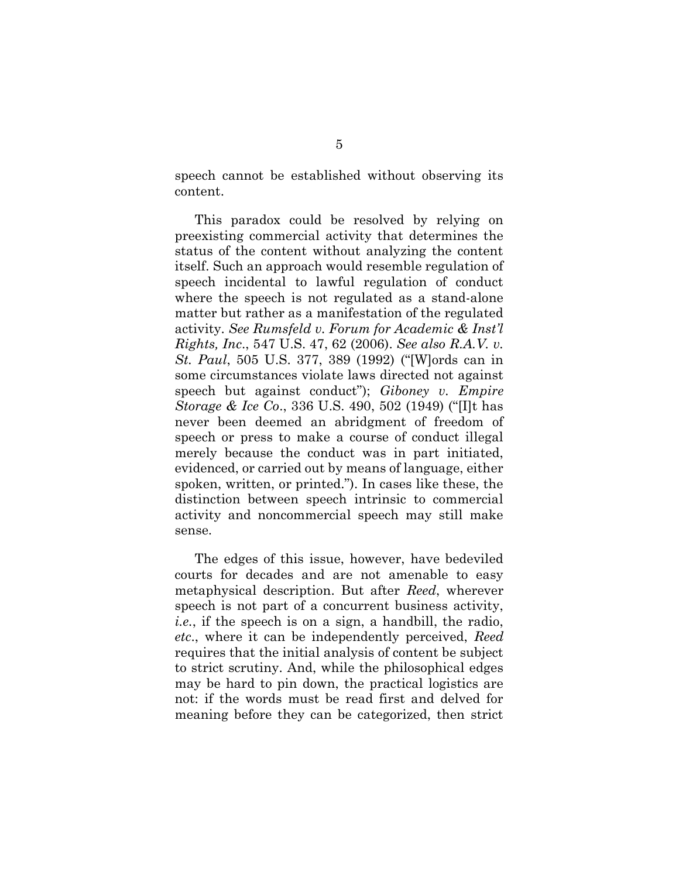speech cannot be established without observing its content.

This paradox could be resolved by relying on preexisting commercial activity that determines the status of the content without analyzing the content itself. Such an approach would resemble regulation of speech incidental to lawful regulation of conduct where the speech is not regulated as a stand-alone matter but rather as a manifestation of the regulated activity. See Rumsfeld v. Forum for Academic & Inst'l Rights, Inc., 547 U.S. 47, 62 (2006). See also R.A.V. v. St. Paul, 505 U.S. 377, 389 (1992) ("[W]ords can in some circumstances violate laws directed not against speech but against conduct"); Giboney v. Empire Storage & Ice Co., 336 U.S. 490, 502 (1949) ("[I]t has never been deemed an abridgment of freedom of speech or press to make a course of conduct illegal merely because the conduct was in part initiated, evidenced, or carried out by means of language, either spoken, written, or printed."). In cases like these, the distinction between speech intrinsic to commercial activity and noncommercial speech may still make sense.

The edges of this issue, however, have bedeviled courts for decades and are not amenable to easy metaphysical description. But after Reed, wherever speech is not part of a concurrent business activity, i.e., if the speech is on a sign, a handbill, the radio, etc., where it can be independently perceived, Reed requires that the initial analysis of content be subject to strict scrutiny. And, while the philosophical edges may be hard to pin down, the practical logistics are not: if the words must be read first and delved for meaning before they can be categorized, then strict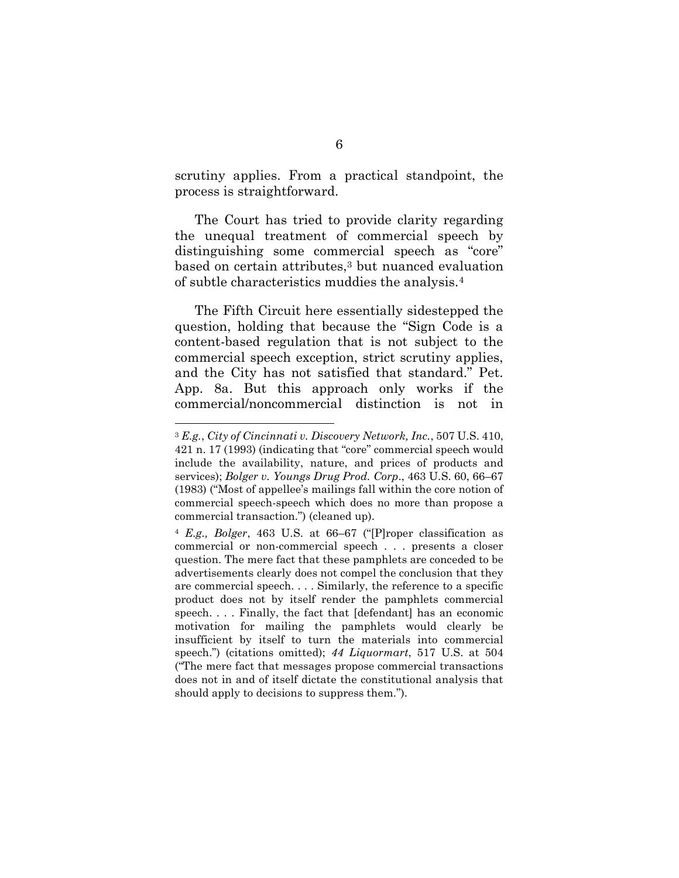scrutiny applies. From a practical standpoint, the process is straightforward.

The Court has tried to provide clarity regarding the unequal treatment of commercial speech by distinguishing some commercial speech as "core" based on certain attributes,3 but nuanced evaluation of subtle characteristics muddies the analysis.<sup>4</sup>

The Fifth Circuit here essentially sidestepped the question, holding that because the "Sign Code is a content-based regulation that is not subject to the commercial speech exception, strict scrutiny applies, and the City has not satisfied that standard." Pet. App. 8a. But this approach only works if the commercial/noncommercial distinction is not in

<sup>3</sup> E.g., City of Cincinnati v. Discovery Network, Inc., 507 U.S. 410, 421 n. 17 (1993) (indicating that "core" commercial speech would include the availability, nature, and prices of products and services); Bolger v. Youngs Drug Prod. Corp., 463 U.S. 60, 66–67 (1983) ("Most of appellee's mailings fall within the core notion of commercial speech-speech which does no more than propose a commercial transaction.") (cleaned up).

<sup>4</sup> E.g., Bolger, 463 U.S. at 66–67 ("[P]roper classification as commercial or non-commercial speech . . . presents a closer question. The mere fact that these pamphlets are conceded to be advertisements clearly does not compel the conclusion that they are commercial speech. . . . Similarly, the reference to a specific product does not by itself render the pamphlets commercial speech. . . . Finally, the fact that [defendant] has an economic motivation for mailing the pamphlets would clearly be insufficient by itself to turn the materials into commercial speech.") (citations omitted); 44 Liquormart, 517 U.S. at 504 ("The mere fact that messages propose commercial transactions does not in and of itself dictate the constitutional analysis that should apply to decisions to suppress them.").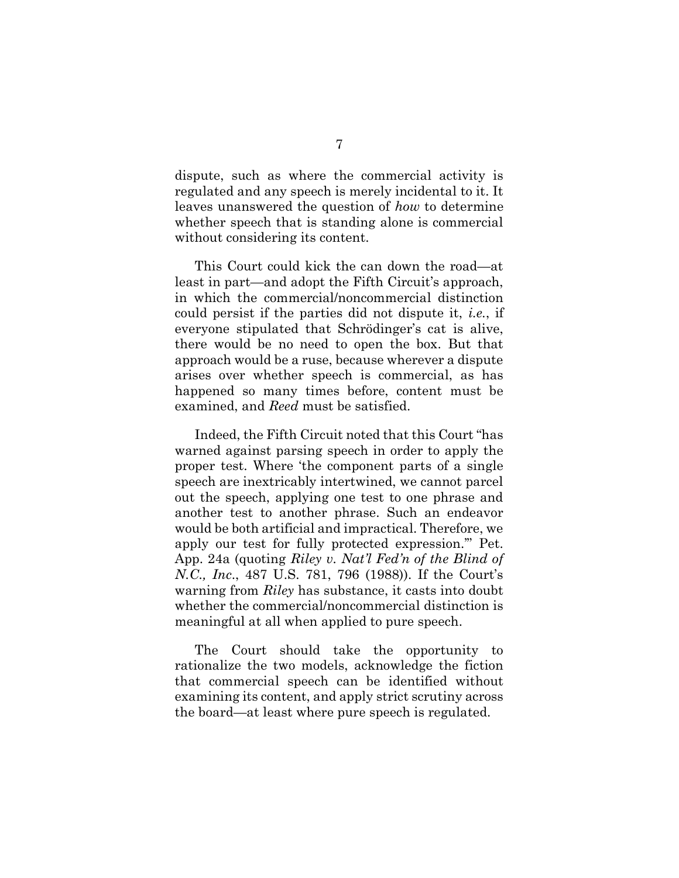dispute, such as where the commercial activity is regulated and any speech is merely incidental to it. It leaves unanswered the question of how to determine whether speech that is standing alone is commercial without considering its content.

This Court could kick the can down the road—at least in part—and adopt the Fifth Circuit's approach, in which the commercial/noncommercial distinction could persist if the parties did not dispute it, i.e., if everyone stipulated that Schrödinger's cat is alive, there would be no need to open the box. But that approach would be a ruse, because wherever a dispute arises over whether speech is commercial, as has happened so many times before, content must be examined, and Reed must be satisfied.

Indeed, the Fifth Circuit noted that this Court "has warned against parsing speech in order to apply the proper test. Where 'the component parts of a single speech are inextricably intertwined, we cannot parcel out the speech, applying one test to one phrase and another test to another phrase. Such an endeavor would be both artificial and impractical. Therefore, we apply our test for fully protected expression.'" Pet. App. 24a (quoting Riley v. Nat'l Fed'n of the Blind of N.C., Inc., 487 U.S. 781, 796 (1988)). If the Court's warning from Riley has substance, it casts into doubt whether the commercial/noncommercial distinction is meaningful at all when applied to pure speech.

The Court should take the opportunity to rationalize the two models, acknowledge the fiction that commercial speech can be identified without examining its content, and apply strict scrutiny across the board—at least where pure speech is regulated.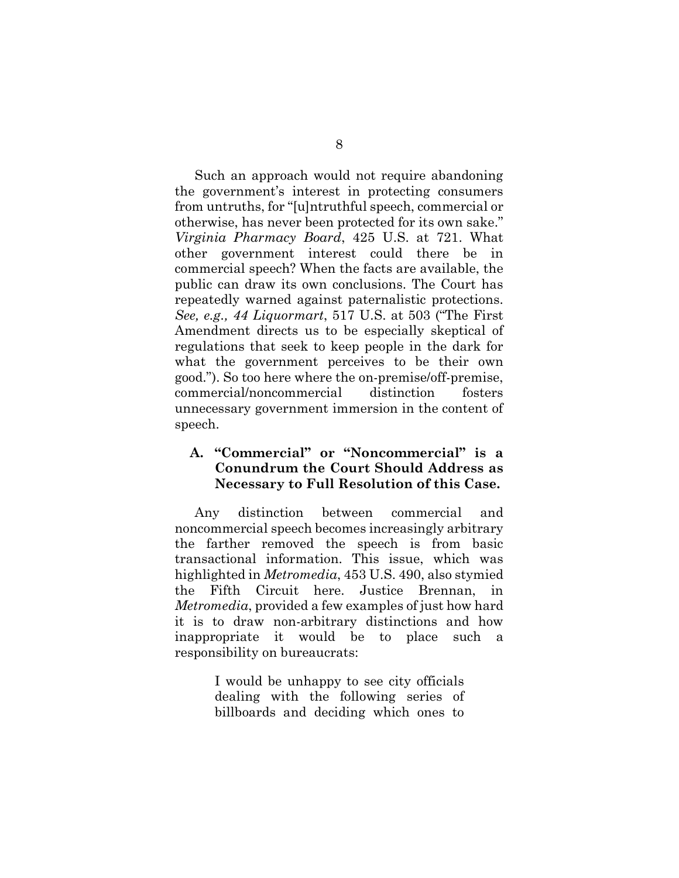Such an approach would not require abandoning the government's interest in protecting consumers from untruths, for "[u]ntruthful speech, commercial or otherwise, has never been protected for its own sake." Virginia Pharmacy Board, 425 U.S. at 721. What other government interest could there be in commercial speech? When the facts are available, the public can draw its own conclusions. The Court has repeatedly warned against paternalistic protections. See, e.g., 44 Liquormart, 517 U.S. at 503 ("The First Amendment directs us to be especially skeptical of regulations that seek to keep people in the dark for what the government perceives to be their own good."). So too here where the on-premise/off-premise, commercial/noncommercial distinction fosters unnecessary government immersion in the content of speech.

## A. "Commercial" or "Noncommercial" is a Conundrum the Court Should Address as Necessary to Full Resolution of this Case.

Any distinction between commercial and noncommercial speech becomes increasingly arbitrary the farther removed the speech is from basic transactional information. This issue, which was highlighted in Metromedia, 453 U.S. 490, also stymied the Fifth Circuit here. Justice Brennan, in Metromedia, provided a few examples of just how hard it is to draw non-arbitrary distinctions and how inappropriate it would be to place such a responsibility on bureaucrats:

> I would be unhappy to see city officials dealing with the following series of billboards and deciding which ones to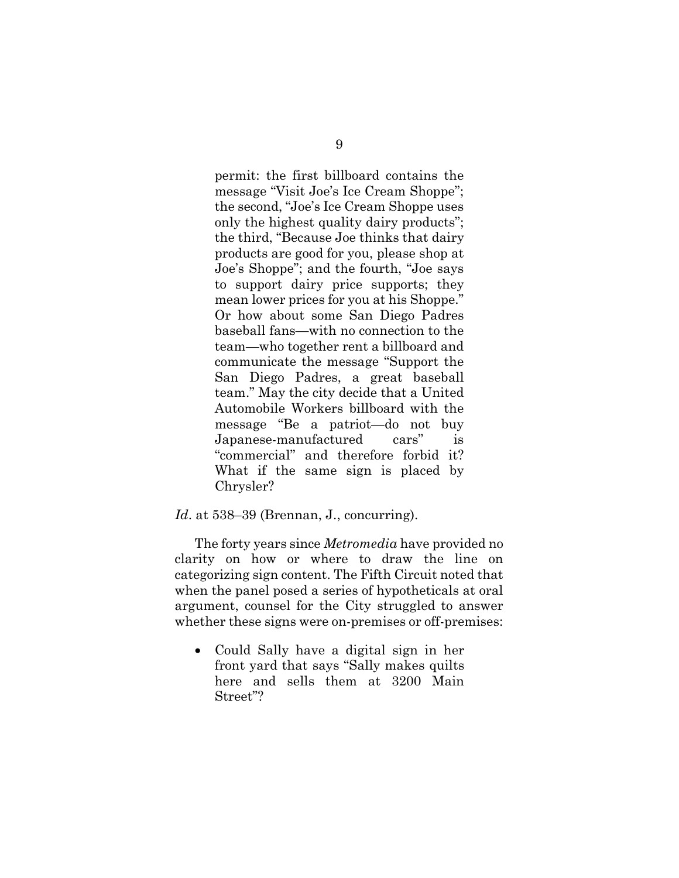permit: the first billboard contains the message "Visit Joe's Ice Cream Shoppe"; the second, "Joe's Ice Cream Shoppe uses only the highest quality dairy products"; the third, "Because Joe thinks that dairy products are good for you, please shop at Joe's Shoppe"; and the fourth, "Joe says to support dairy price supports; they mean lower prices for you at his Shoppe." Or how about some San Diego Padres baseball fans—with no connection to the team—who together rent a billboard and communicate the message "Support the San Diego Padres, a great baseball team." May the city decide that a United Automobile Workers billboard with the message "Be a patriot—do not buy Japanese-manufactured cars" is "commercial" and therefore forbid it? What if the same sign is placed by Chrysler?

#### Id. at 538–39 (Brennan, J., concurring).

The forty years since *Metromedia* have provided no clarity on how or where to draw the line on categorizing sign content. The Fifth Circuit noted that when the panel posed a series of hypotheticals at oral argument, counsel for the City struggled to answer whether these signs were on-premises or off-premises:

• Could Sally have a digital sign in her front yard that says "Sally makes quilts here and sells them at 3200 Main Street"?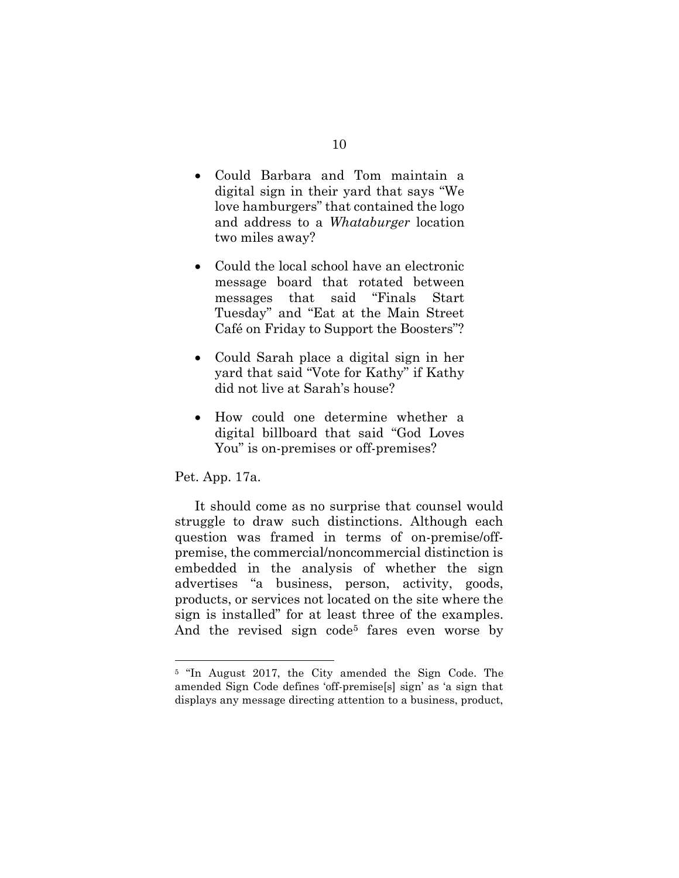- Could Barbara and Tom maintain a digital sign in their yard that says "We love hamburgers" that contained the logo and address to a Whataburger location two miles away?
- Could the local school have an electronic message board that rotated between messages that said "Finals Start Tuesday" and "Eat at the Main Street Café on Friday to Support the Boosters"?
- Could Sarah place a digital sign in her yard that said "Vote for Kathy" if Kathy did not live at Sarah's house?
- How could one determine whether a digital billboard that said "God Loves You" is on-premises or off-premises?

#### Pet. App. 17a.

It should come as no surprise that counsel would struggle to draw such distinctions. Although each question was framed in terms of on-premise/offpremise, the commercial/noncommercial distinction is embedded in the analysis of whether the sign advertises "a business, person, activity, goods, products, or services not located on the site where the sign is installed" for at least three of the examples. And the revised sign code<sup>5</sup> fares even worse by

<sup>5</sup> "In August 2017, the City amended the Sign Code. The amended Sign Code defines 'off-premise[s] sign' as 'a sign that displays any message directing attention to a business, product,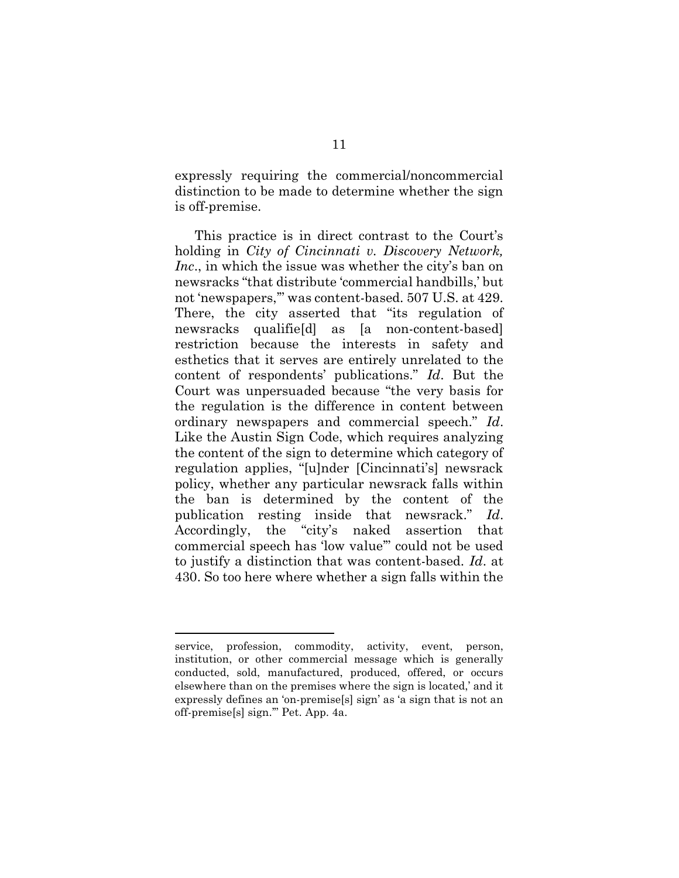expressly requiring the commercial/noncommercial distinction to be made to determine whether the sign is off-premise.

This practice is in direct contrast to the Court's holding in City of Cincinnati v. Discovery Network, Inc., in which the issue was whether the city's ban on newsracks "that distribute 'commercial handbills,' but not 'newspapers,'" was content-based. 507 U.S. at 429. There, the city asserted that "its regulation of newsracks qualifie[d] as [a non-content-based] restriction because the interests in safety and esthetics that it serves are entirely unrelated to the content of respondents' publications." Id. But the Court was unpersuaded because "the very basis for the regulation is the difference in content between ordinary newspapers and commercial speech." Id. Like the Austin Sign Code, which requires analyzing the content of the sign to determine which category of regulation applies, "[u]nder [Cincinnati's] newsrack policy, whether any particular newsrack falls within the ban is determined by the content of the publication resting inside that newsrack." Id. Accordingly, the "city's naked assertion that commercial speech has 'low value'" could not be used to justify a distinction that was content-based. Id. at 430. So too here where whether a sign falls within the

service, profession, commodity, activity, event, person, institution, or other commercial message which is generally conducted, sold, manufactured, produced, offered, or occurs elsewhere than on the premises where the sign is located,' and it expressly defines an 'on-premise[s] sign' as 'a sign that is not an off-premise[s] sign.'" Pet. App. 4a.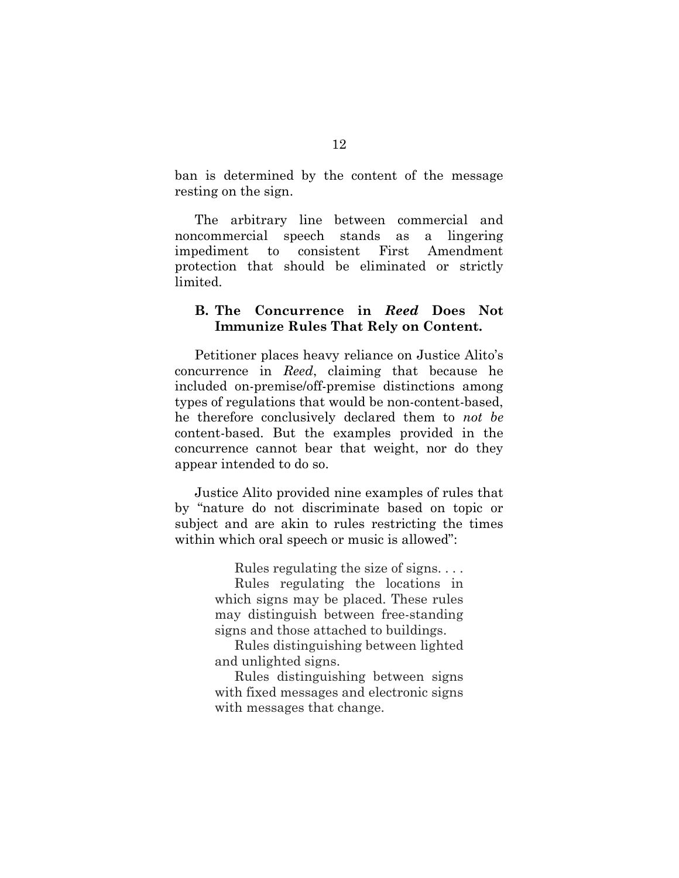ban is determined by the content of the message resting on the sign.

The arbitrary line between commercial and noncommercial speech stands as a lingering impediment to consistent First Amendment protection that should be eliminated or strictly limited.

## B. The Concurrence in Reed Does Not Immunize Rules That Rely on Content.

Petitioner places heavy reliance on Justice Alito's concurrence in Reed, claiming that because he included on-premise/off-premise distinctions among types of regulations that would be non-content-based, he therefore conclusively declared them to not be content-based. But the examples provided in the concurrence cannot bear that weight, nor do they appear intended to do so.

Justice Alito provided nine examples of rules that by "nature do not discriminate based on topic or subject and are akin to rules restricting the times within which oral speech or music is allowed":

Rules regulating the size of signs. . . .

Rules regulating the locations in which signs may be placed. These rules may distinguish between free-standing signs and those attached to buildings.

Rules distinguishing between lighted and unlighted signs.

Rules distinguishing between signs with fixed messages and electronic signs with messages that change.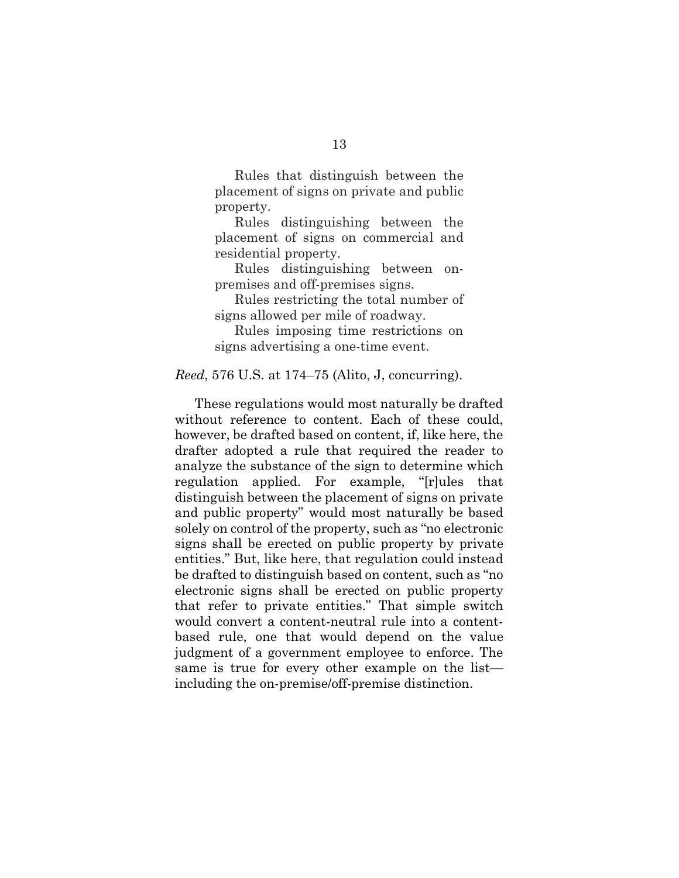Rules that distinguish between the placement of signs on private and public property.

Rules distinguishing between the placement of signs on commercial and residential property.

Rules distinguishing between onpremises and off-premises signs.

Rules restricting the total number of signs allowed per mile of roadway.

Rules imposing time restrictions on signs advertising a one-time event.

#### Reed, 576 U.S. at 174–75 (Alito, J, concurring).

These regulations would most naturally be drafted without reference to content. Each of these could, however, be drafted based on content, if, like here, the drafter adopted a rule that required the reader to analyze the substance of the sign to determine which regulation applied. For example, "[r]ules that distinguish between the placement of signs on private and public property" would most naturally be based solely on control of the property, such as "no electronic signs shall be erected on public property by private entities." But, like here, that regulation could instead be drafted to distinguish based on content, such as "no electronic signs shall be erected on public property that refer to private entities." That simple switch would convert a content-neutral rule into a contentbased rule, one that would depend on the value judgment of a government employee to enforce. The same is true for every other example on the list including the on-premise/off-premise distinction.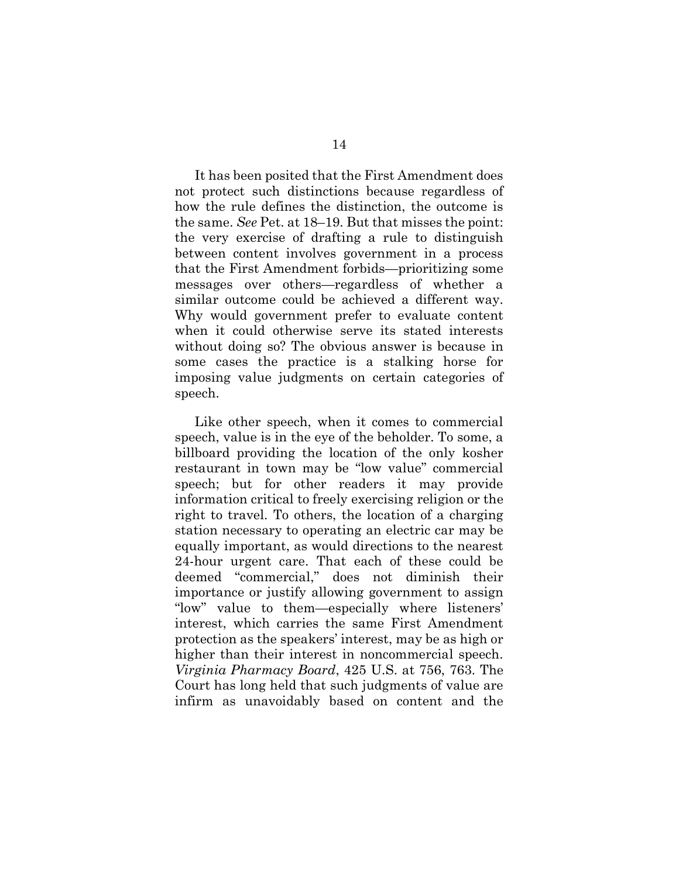It has been posited that the First Amendment does not protect such distinctions because regardless of how the rule defines the distinction, the outcome is the same. See Pet. at 18–19. But that misses the point: the very exercise of drafting a rule to distinguish between content involves government in a process that the First Amendment forbids—prioritizing some messages over others—regardless of whether a similar outcome could be achieved a different way. Why would government prefer to evaluate content when it could otherwise serve its stated interests without doing so? The obvious answer is because in some cases the practice is a stalking horse for imposing value judgments on certain categories of speech.

Like other speech, when it comes to commercial speech, value is in the eye of the beholder. To some, a billboard providing the location of the only kosher restaurant in town may be "low value" commercial speech; but for other readers it may provide information critical to freely exercising religion or the right to travel. To others, the location of a charging station necessary to operating an electric car may be equally important, as would directions to the nearest 24-hour urgent care. That each of these could be deemed "commercial," does not diminish their importance or justify allowing government to assign "low" value to them—especially where listeners' interest, which carries the same First Amendment protection as the speakers' interest, may be as high or higher than their interest in noncommercial speech. Virginia Pharmacy Board, 425 U.S. at 756, 763. The Court has long held that such judgments of value are infirm as unavoidably based on content and the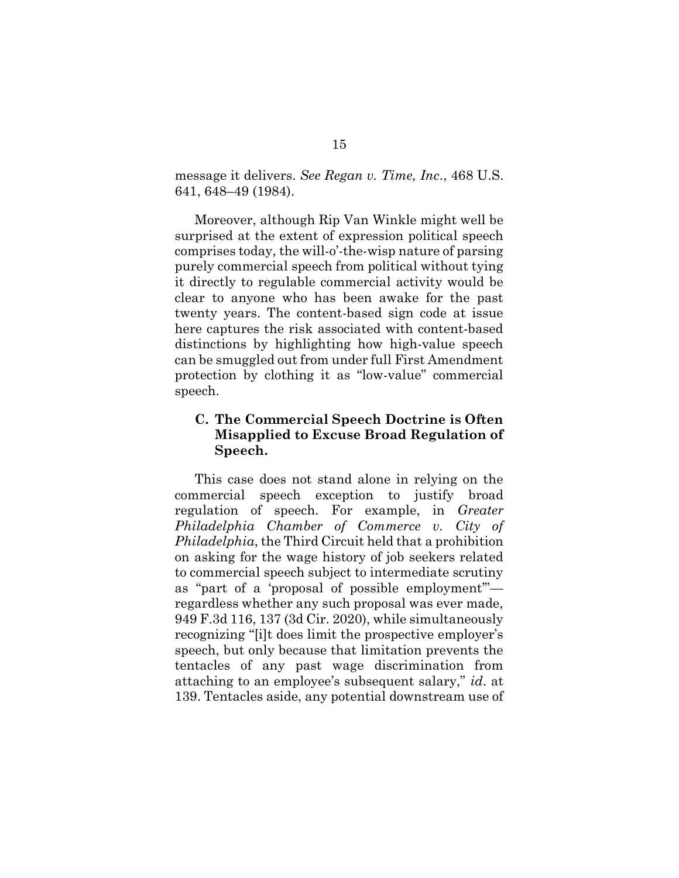message it delivers. See Regan v. Time, Inc., 468 U.S. 641, 648–49 (1984).

Moreover, although Rip Van Winkle might well be surprised at the extent of expression political speech comprises today, the will-o'-the-wisp nature of parsing purely commercial speech from political without tying it directly to regulable commercial activity would be clear to anyone who has been awake for the past twenty years. The content-based sign code at issue here captures the risk associated with content-based distinctions by highlighting how high-value speech can be smuggled out from under full First Amendment protection by clothing it as "low-value" commercial speech.

## C. The Commercial Speech Doctrine is Often Misapplied to Excuse Broad Regulation of Speech.

This case does not stand alone in relying on the commercial speech exception to justify broad regulation of speech. For example, in Greater Philadelphia Chamber of Commerce v. City of Philadelphia, the Third Circuit held that a prohibition on asking for the wage history of job seekers related to commercial speech subject to intermediate scrutiny as "part of a 'proposal of possible employment'" regardless whether any such proposal was ever made, 949 F.3d 116, 137 (3d Cir. 2020), while simultaneously recognizing "[i]t does limit the prospective employer's speech, but only because that limitation prevents the tentacles of any past wage discrimination from attaching to an employee's subsequent salary," id. at 139. Tentacles aside, any potential downstream use of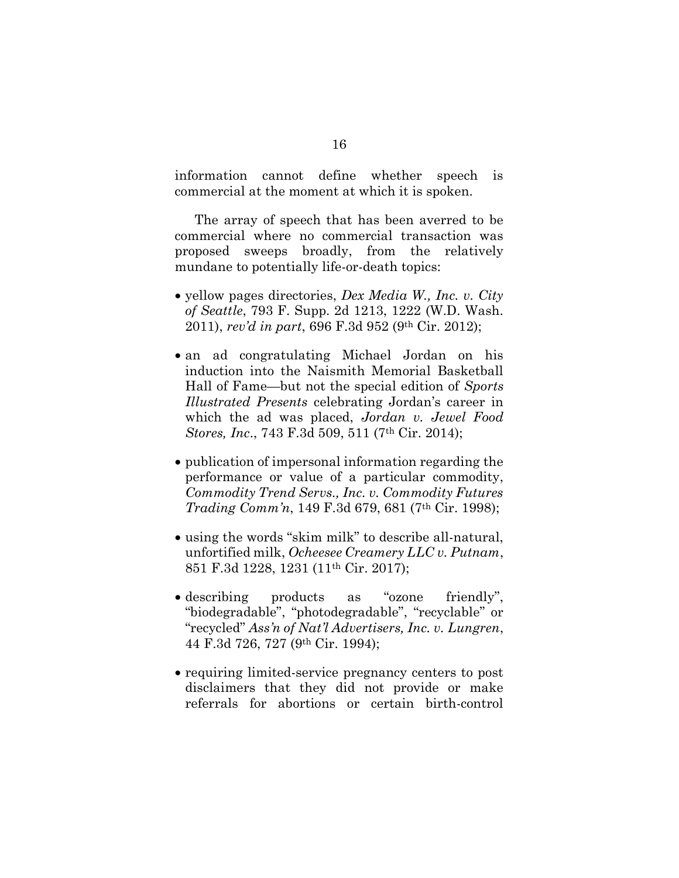information cannot define whether speech is commercial at the moment at which it is spoken.

The array of speech that has been averred to be commercial where no commercial transaction was proposed sweeps broadly, from the relatively mundane to potentially life-or-death topics:

- $\bullet$  yellow pages directories, Dex Media W., Inc. v. City of Seattle, 793 F. Supp. 2d 1213, 1222 (W.D. Wash. 2011), rev'd in part, 696 F.3d 952 (9th Cir. 2012);
- an ad congratulating Michael Jordan on his induction into the Naismith Memorial Basketball Hall of Fame—but not the special edition of Sports Illustrated Presents celebrating Jordan's career in which the ad was placed, Jordan v. Jewel Food Stores, Inc., 743 F.3d 509, 511 (7<sup>th</sup> Cir. 2014);
- publication of impersonal information regarding the performance or value of a particular commodity, Commodity Trend Servs., Inc. v. Commodity Futures Trading Comm'n, 149 F.3d 679, 681 (7th Cir. 1998);
- using the words "skim milk" to describe all-natural, unfortified milk, Ocheesee Creamery LLC v. Putnam, 851 F.3d 1228, 1231 (11th Cir. 2017);
- describing products as "ozone friendly", "biodegradable", "photodegradable", "recyclable" or "recycled" Ass'n of Nat'l Advertisers, Inc. v. Lungren, 44 F.3d 726, 727 (9th Cir. 1994);
- requiring limited-service pregnancy centers to post disclaimers that they did not provide or make referrals for abortions or certain birth-control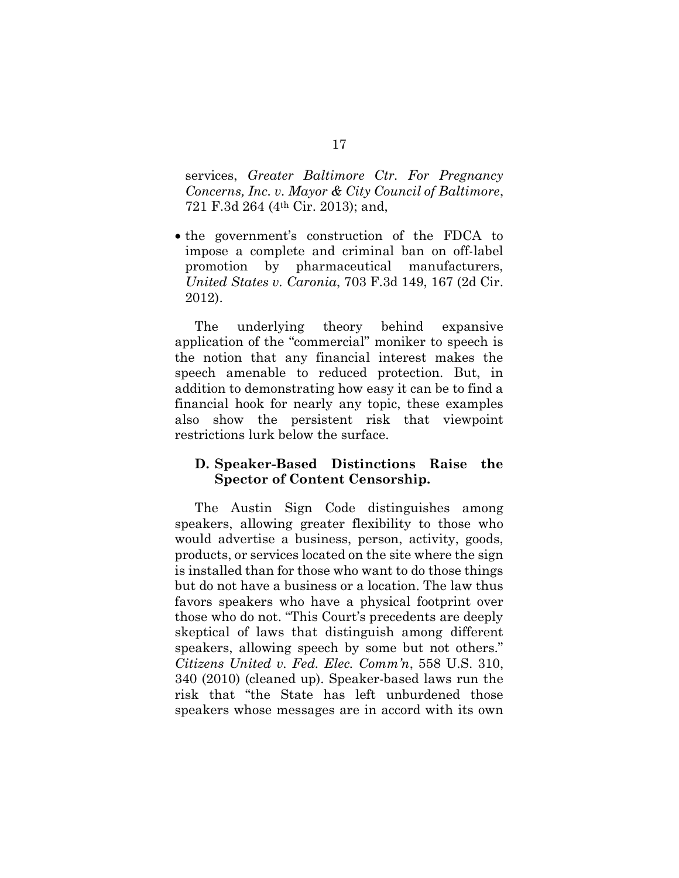services, Greater Baltimore Ctr. For Pregnancy Concerns, Inc. v. Mayor & City Council of Baltimore, 721 F.3d 264 (4th Cir. 2013); and,

• the government's construction of the FDCA to impose a complete and criminal ban on off-label promotion by pharmaceutical manufacturers, United States v. Caronia, 703 F.3d 149, 167 (2d Cir. 2012).

The underlying theory behind expansive application of the "commercial" moniker to speech is the notion that any financial interest makes the speech amenable to reduced protection. But, in addition to demonstrating how easy it can be to find a financial hook for nearly any topic, these examples also show the persistent risk that viewpoint restrictions lurk below the surface.

## D. Speaker-Based Distinctions Raise the Spector of Content Censorship.

The Austin Sign Code distinguishes among speakers, allowing greater flexibility to those who would advertise a business, person, activity, goods, products, or services located on the site where the sign is installed than for those who want to do those things but do not have a business or a location. The law thus favors speakers who have a physical footprint over those who do not. "This Court's precedents are deeply skeptical of laws that distinguish among different speakers, allowing speech by some but not others." Citizens United v. Fed. Elec. Comm'n, 558 U.S. 310, 340 (2010) (cleaned up). Speaker-based laws run the risk that "the State has left unburdened those speakers whose messages are in accord with its own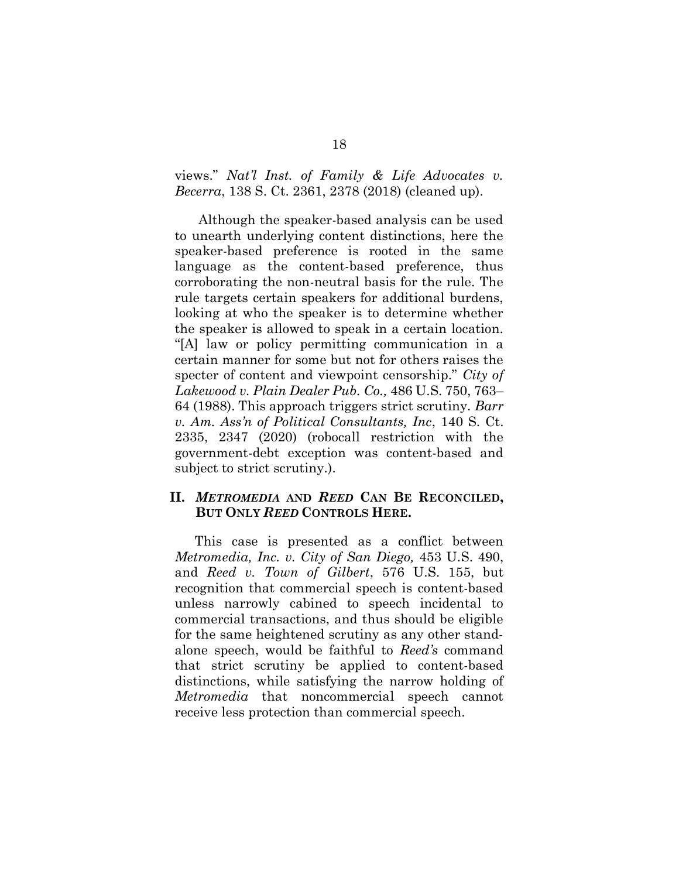views." Nat'l Inst. of Family & Life Advocates v. Becerra, 138 S. Ct. 2361, 2378 (2018) (cleaned up).

 Although the speaker-based analysis can be used to unearth underlying content distinctions, here the speaker-based preference is rooted in the same language as the content-based preference, thus corroborating the non-neutral basis for the rule. The rule targets certain speakers for additional burdens, looking at who the speaker is to determine whether the speaker is allowed to speak in a certain location. "[A] law or policy permitting communication in a certain manner for some but not for others raises the specter of content and viewpoint censorship." City of Lakewood v. Plain Dealer Pub. Co., 486 U.S. 750, 763– 64 (1988). This approach triggers strict scrutiny. Barr v. Am. Ass'n of Political Consultants, Inc, 140 S. Ct. 2335, 2347 (2020) (robocall restriction with the government-debt exception was content-based and subject to strict scrutiny.).

## II. METROMEDIA AND REED CAN BE RECONCILED, BUT ONLY REED CONTROLS HERE.

This case is presented as a conflict between Metromedia, Inc. v. City of San Diego, 453 U.S. 490, and Reed v. Town of Gilbert, 576 U.S. 155, but recognition that commercial speech is content-based unless narrowly cabined to speech incidental to commercial transactions, and thus should be eligible for the same heightened scrutiny as any other standalone speech, would be faithful to Reed's command that strict scrutiny be applied to content-based distinctions, while satisfying the narrow holding of Metromedia that noncommercial speech cannot receive less protection than commercial speech.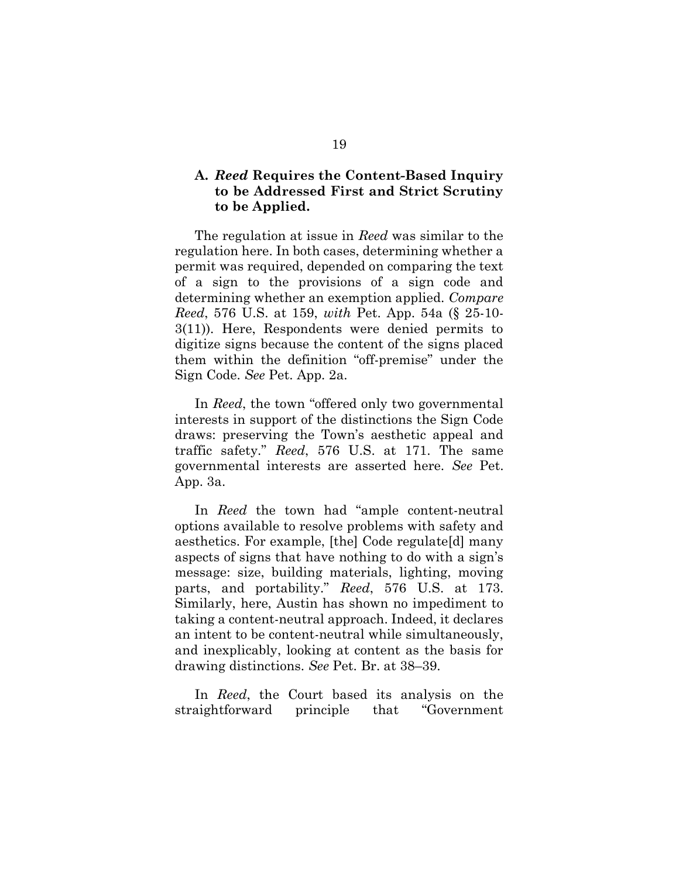## A. Reed Requires the Content-Based Inquiry to be Addressed First and Strict Scrutiny to be Applied.

The regulation at issue in *Reed* was similar to the regulation here. In both cases, determining whether a permit was required, depended on comparing the text of a sign to the provisions of a sign code and determining whether an exemption applied. Compare Reed, 576 U.S. at 159, with Pet. App. 54a (§ 25-10- 3(11)). Here, Respondents were denied permits to digitize signs because the content of the signs placed them within the definition "off-premise" under the Sign Code. See Pet. App. 2a.

In Reed, the town "offered only two governmental interests in support of the distinctions the Sign Code draws: preserving the Town's aesthetic appeal and traffic safety." Reed, 576 U.S. at 171. The same governmental interests are asserted here. See Pet. App. 3a.

In Reed the town had "ample content-neutral" options available to resolve problems with safety and aesthetics. For example, [the] Code regulate[d] many aspects of signs that have nothing to do with a sign's message: size, building materials, lighting, moving parts, and portability." Reed, 576 U.S. at 173. Similarly, here, Austin has shown no impediment to taking a content-neutral approach. Indeed, it declares an intent to be content-neutral while simultaneously, and inexplicably, looking at content as the basis for drawing distinctions. See Pet. Br. at 38–39.

In Reed, the Court based its analysis on the straightforward principle that "Government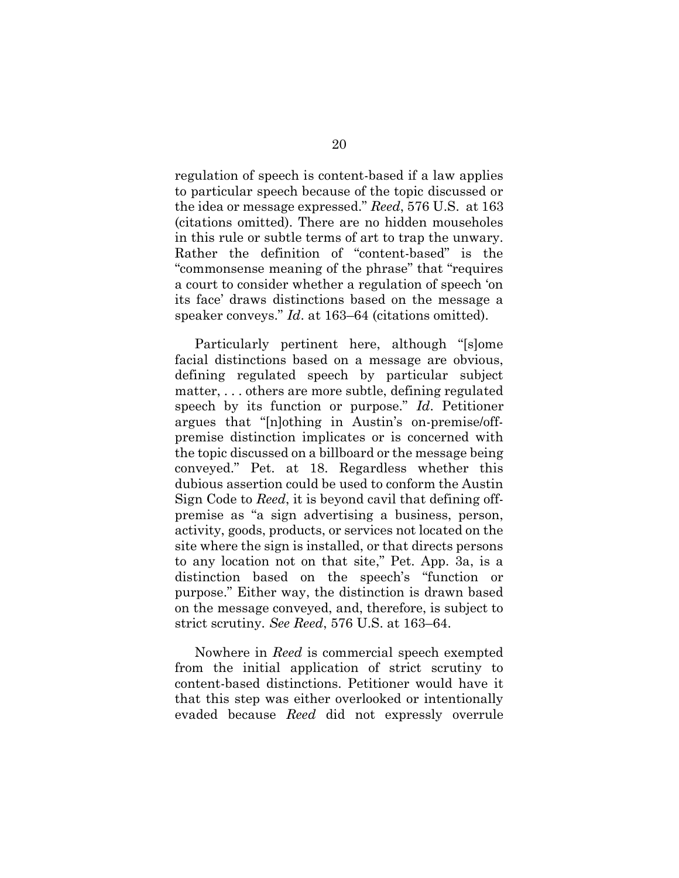regulation of speech is content-based if a law applies to particular speech because of the topic discussed or the idea or message expressed." Reed, 576 U.S. at 163 (citations omitted). There are no hidden mouseholes in this rule or subtle terms of art to trap the unwary. Rather the definition of "content-based" is the "commonsense meaning of the phrase" that "requires a court to consider whether a regulation of speech 'on its face' draws distinctions based on the message a speaker conveys." Id. at 163–64 (citations omitted).

Particularly pertinent here, although "[s]ome facial distinctions based on a message are obvious, defining regulated speech by particular subject matter, . . . others are more subtle, defining regulated speech by its function or purpose." Id. Petitioner argues that "[n]othing in Austin's on-premise/offpremise distinction implicates or is concerned with the topic discussed on a billboard or the message being conveyed." Pet. at 18. Regardless whether this dubious assertion could be used to conform the Austin Sign Code to Reed, it is beyond cavil that defining offpremise as "a sign advertising a business, person, activity, goods, products, or services not located on the site where the sign is installed, or that directs persons to any location not on that site," Pet. App. 3a, is a distinction based on the speech's "function or purpose." Either way, the distinction is drawn based on the message conveyed, and, therefore, is subject to strict scrutiny. See Reed, 576 U.S. at 163–64.

Nowhere in Reed is commercial speech exempted from the initial application of strict scrutiny to content-based distinctions. Petitioner would have it that this step was either overlooked or intentionally evaded because Reed did not expressly overrule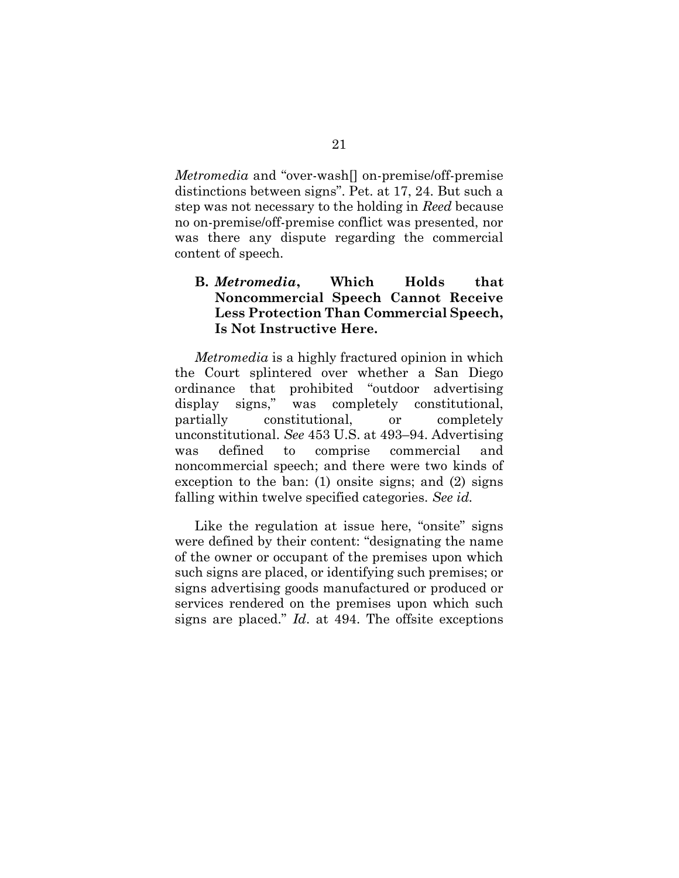Metromedia and "over-wash[] on-premise/off-premise distinctions between signs". Pet. at 17, 24. But such a step was not necessary to the holding in Reed because no on-premise/off-premise conflict was presented, nor was there any dispute regarding the commercial content of speech.

## B. Metromedia, Which Holds that Noncommercial Speech Cannot Receive Less Protection Than Commercial Speech, Is Not Instructive Here.

Metromedia is a highly fractured opinion in which the Court splintered over whether a San Diego ordinance that prohibited "outdoor advertising display signs," was completely constitutional, partially constitutional, or completely unconstitutional. See 453 U.S. at 493–94. Advertising was defined to comprise commercial and noncommercial speech; and there were two kinds of exception to the ban: (1) onsite signs; and (2) signs falling within twelve specified categories. See id.

Like the regulation at issue here, "onsite" signs were defined by their content: "designating the name of the owner or occupant of the premises upon which such signs are placed, or identifying such premises; or signs advertising goods manufactured or produced or services rendered on the premises upon which such signs are placed." Id. at 494. The offsite exceptions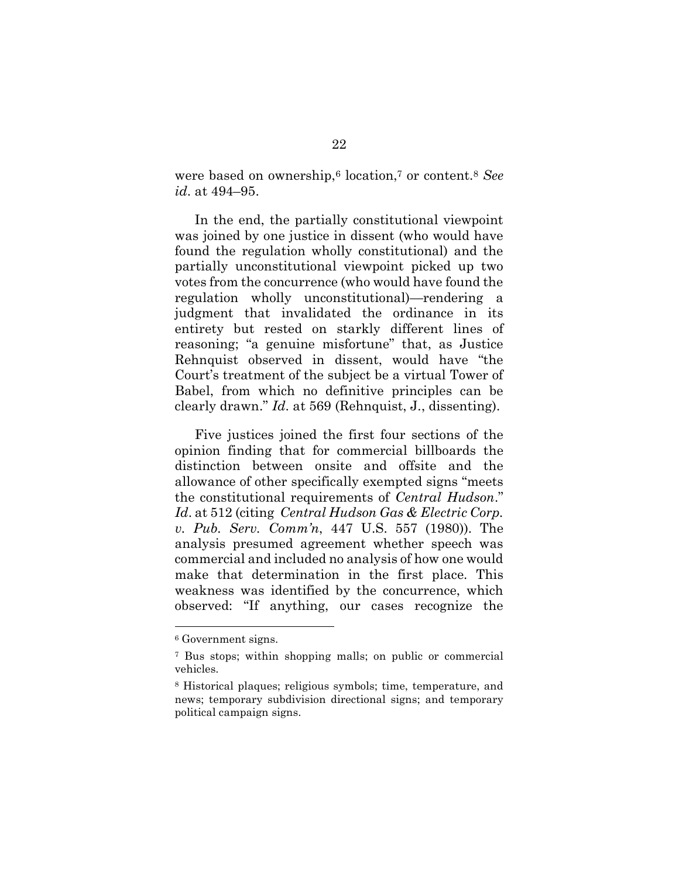were based on ownership,<sup>6</sup> location,<sup>7</sup> or content.<sup>8</sup> See id. at 494–95.

In the end, the partially constitutional viewpoint was joined by one justice in dissent (who would have found the regulation wholly constitutional) and the partially unconstitutional viewpoint picked up two votes from the concurrence (who would have found the regulation wholly unconstitutional)—rendering a judgment that invalidated the ordinance in its entirety but rested on starkly different lines of reasoning; "a genuine misfortune" that, as Justice Rehnquist observed in dissent, would have "the Court's treatment of the subject be a virtual Tower of Babel, from which no definitive principles can be clearly drawn." Id. at 569 (Rehnquist, J., dissenting).

Five justices joined the first four sections of the opinion finding that for commercial billboards the distinction between onsite and offsite and the allowance of other specifically exempted signs "meets the constitutional requirements of Central Hudson." Id. at 512 (citing *Central Hudson Gas & Electric Corp.* v. Pub. Serv. Comm'n, 447 U.S. 557 (1980)). The analysis presumed agreement whether speech was commercial and included no analysis of how one would make that determination in the first place. This weakness was identified by the concurrence, which observed: "If anything, our cases recognize the

<sup>6</sup> Government signs.

<sup>7</sup> Bus stops; within shopping malls; on public or commercial vehicles.

<sup>8</sup> Historical plaques; religious symbols; time, temperature, and news; temporary subdivision directional signs; and temporary political campaign signs.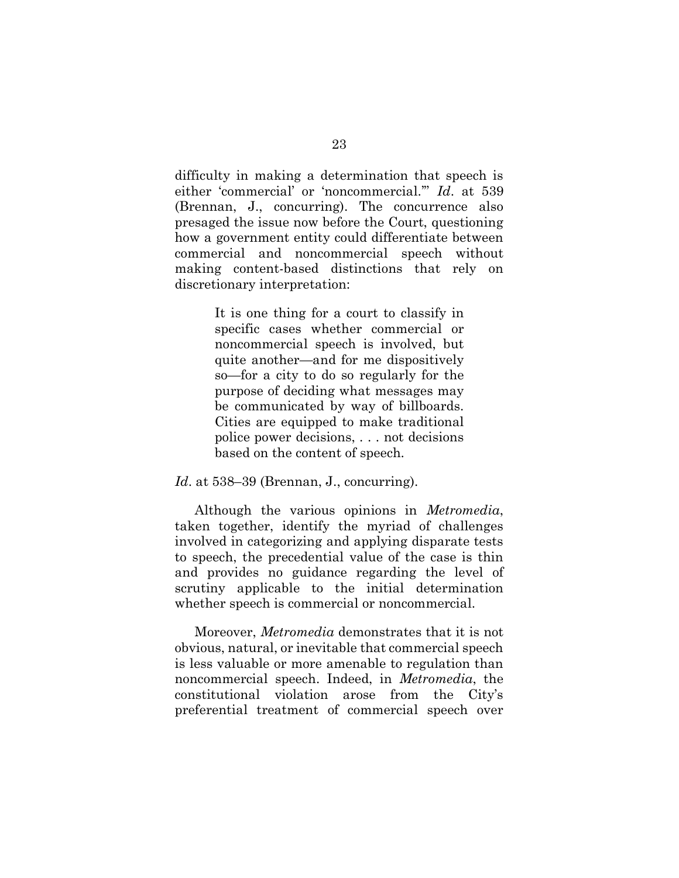difficulty in making a determination that speech is either 'commercial' or 'noncommercial." Id. at 539 (Brennan, J., concurring). The concurrence also presaged the issue now before the Court, questioning how a government entity could differentiate between commercial and noncommercial speech without making content-based distinctions that rely on discretionary interpretation:

> It is one thing for a court to classify in specific cases whether commercial or noncommercial speech is involved, but quite another—and for me dispositively so—for a city to do so regularly for the purpose of deciding what messages may be communicated by way of billboards. Cities are equipped to make traditional police power decisions, . . . not decisions based on the content of speech.

#### Id. at 538–39 (Brennan, J., concurring).

Although the various opinions in *Metromedia*, taken together, identify the myriad of challenges involved in categorizing and applying disparate tests to speech, the precedential value of the case is thin and provides no guidance regarding the level of scrutiny applicable to the initial determination whether speech is commercial or noncommercial.

Moreover, Metromedia demonstrates that it is not obvious, natural, or inevitable that commercial speech is less valuable or more amenable to regulation than noncommercial speech. Indeed, in Metromedia, the constitutional violation arose from the City's preferential treatment of commercial speech over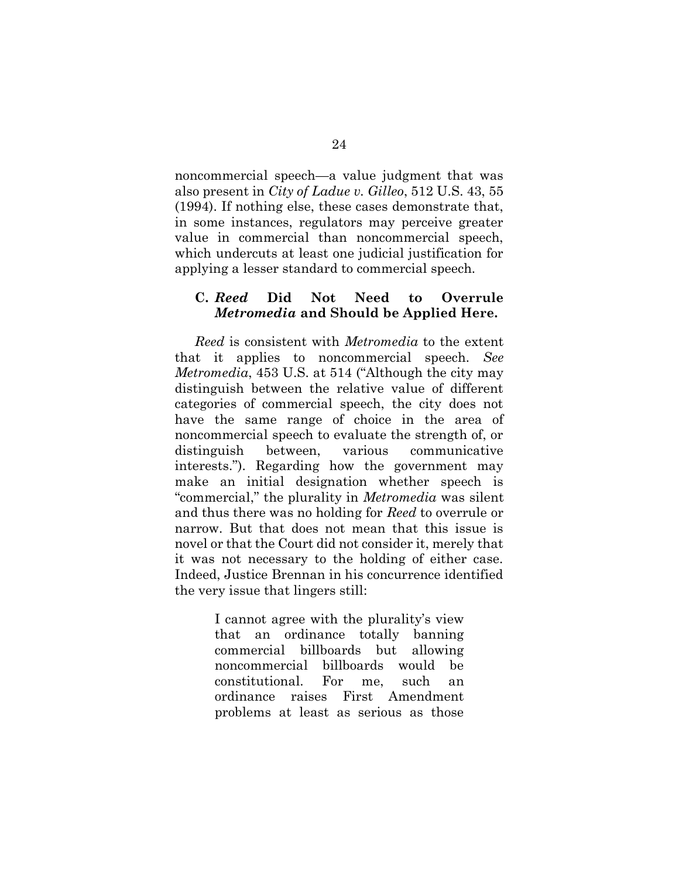noncommercial speech—a value judgment that was also present in City of Ladue v. Gilleo, 512 U.S. 43, 55 (1994). If nothing else, these cases demonstrate that, in some instances, regulators may perceive greater value in commercial than noncommercial speech, which undercuts at least one judicial justification for applying a lesser standard to commercial speech.

#### C. Reed Did Not Need to Overrule Metromedia and Should be Applied Here.

Reed is consistent with Metromedia to the extent that it applies to noncommercial speech. See Metromedia, 453 U.S. at 514 ("Although the city may distinguish between the relative value of different categories of commercial speech, the city does not have the same range of choice in the area of noncommercial speech to evaluate the strength of, or distinguish between, various communicative interests."). Regarding how the government may make an initial designation whether speech is "commercial," the plurality in Metromedia was silent and thus there was no holding for Reed to overrule or narrow. But that does not mean that this issue is novel or that the Court did not consider it, merely that it was not necessary to the holding of either case. Indeed, Justice Brennan in his concurrence identified the very issue that lingers still:

> I cannot agree with the plurality's view that an ordinance totally banning commercial billboards but allowing noncommercial billboards would be constitutional. For me, such an ordinance raises First Amendment problems at least as serious as those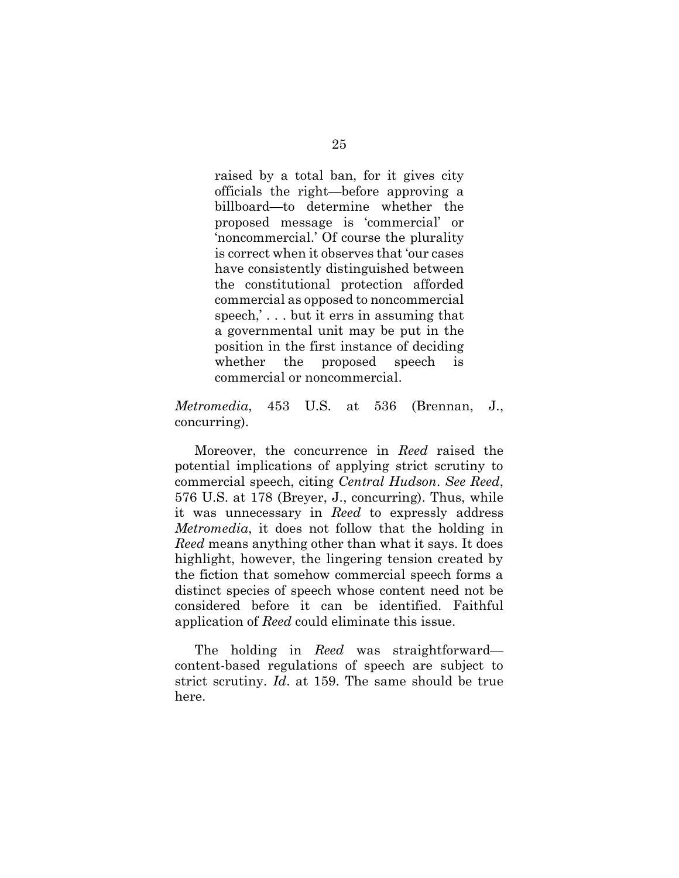raised by a total ban, for it gives city officials the right—before approving a billboard—to determine whether the proposed message is 'commercial' or 'noncommercial.' Of course the plurality is correct when it observes that 'our cases have consistently distinguished between the constitutional protection afforded commercial as opposed to noncommercial speech,' . . . but it errs in assuming that a governmental unit may be put in the position in the first instance of deciding whether the proposed speech is commercial or noncommercial.

Metromedia, 453 U.S. at 536 (Brennan, J., concurring).

Moreover, the concurrence in Reed raised the potential implications of applying strict scrutiny to commercial speech, citing Central Hudson. See Reed, 576 U.S. at 178 (Breyer, J., concurring). Thus, while it was unnecessary in Reed to expressly address Metromedia, it does not follow that the holding in Reed means anything other than what it says. It does highlight, however, the lingering tension created by the fiction that somehow commercial speech forms a distinct species of speech whose content need not be considered before it can be identified. Faithful application of Reed could eliminate this issue.

The holding in Reed was straightforward content-based regulations of speech are subject to strict scrutiny. Id. at 159. The same should be true here.